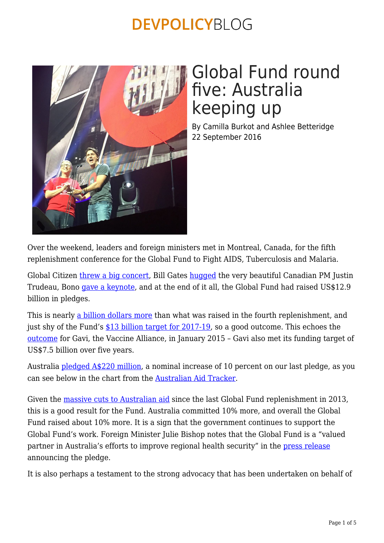

# Global Fund round five: Australia keeping up

By Camilla Burkot and Ashlee Betteridge 22 September 2016

Over the weekend, leaders and foreign ministers met in Montreal, Canada, for the fifth replenishment conference for the Global Fund to Fight AIDS, Tuberculosis and Malaria.

Global Citizen [threw a big concert,](https://www.globalcitizen.org/en/live/showup-montreal/) Bill Gates [hugged](https://twitter.com/BillGates/status/777318645189914624) the very beautiful Canadian PM Justin Trudeau, Bono [gave a keynote](http://news.nationalpost.com/news/canada/im-a-fan-bono-praises-canada-as-being-a-leader-of-global-community-at-montreal-aids-conference), and at the end of it all, the Global Fund had raised US\$12.9 billion in pledges.

This is nearly [a billion dollars more](https://devpolicy.org/in-brief/australia-cools-on-the-global-fund-20121204/) than what was raised in the fourth replenishment, and just shy of the Fund's [\\$13 billion target for 2017-19](http://www.theglobalfund.org/en/replenishmentconference/), so a good outcome. This echoes the [outcome](http://www.gavi.org/library/news/press-releases/2015/record-breaking-commitment-to-protect-poorest-children-with-vaccines/) for Gavi, the Vaccine Alliance, in January 2015 – Gavi also met its funding target of US\$7.5 billion over five years.

Australia [pledged A\\$220 million](http://foreignminister.gov.au/releases/Pages/2016/jb_mr_160916a.aspx), a nominal increase of 10 percent on our last pledge, as you can see below in the chart from the [Australian Aid Tracker](https://devpolicy.org/aidtracker/commitments/global-fund/).

Given the [massive cuts to Australian aid](https://devpolicy.org/aidtracker/trends/) since the last Global Fund replenishment in 2013, this is a good result for the Fund. Australia committed 10% more, and overall the Global Fund raised about 10% more. It is a sign that the government continues to support the Global Fund's work. Foreign Minister Julie Bishop notes that the Global Fund is a "valued partner in Australia's efforts to improve regional health security" in the [press release](http://foreignminister.gov.au/releases/Pages/2016/jb_mr_160916a.aspx) announcing the pledge.

It is also perhaps a testament to the strong advocacy that has been undertaken on behalf of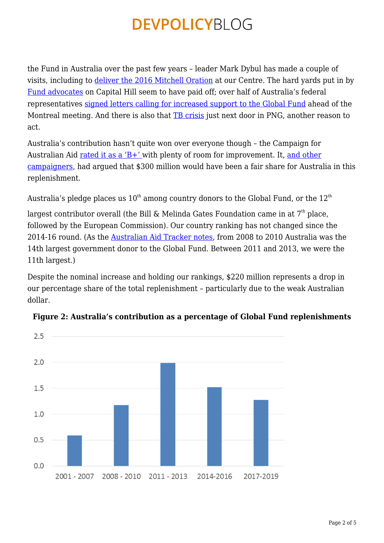the Fund in Australia over the past few years – leader Mark Dybul has made a couple of visits, including to [deliver the 2016 Mitchell Oration](https://devpolicy.crawford.anu.edu.au/harold-mitchell-development-policy-lecture-series) at our Centre. The hard yards put in by [Fund advocates](https://devpolicy.org/will-australia-step-montreal-20160902/) on Capital Hill seem to have paid off; over half of Australia's federal representatives [signed letters calling for increased support to the Global Fund](https://www.afao.org.au/__data/assets/pdf_file/0006/27555/245T1718_MR.PDF) ahead of the Montreal meeting. And there is also that **TB** crisis just next door in PNG, another reason to act.

Australia's contribution hasn't quite won over everyone though – the Campaign for Australian Aid [rated it as a 'B+'](https://australianaid.org/2016/09/16/global-fund-announcement-a-positive-step-to-fight-aids-tuberculosis-and-malaria/) with plenty of room for improvement. It, [and other](http://www.sbs.com.au/news/article/2016/09/12/comment-why-australia-should-help-fight-aids-tuberculosis-and-malaria) [campaigners,](http://www.sbs.com.au/news/article/2016/09/12/comment-why-australia-should-help-fight-aids-tuberculosis-and-malaria) had argued that \$300 million would have been a fair share for Australia in this replenishment.

Australia's pledge places us  $10^{th}$  among country donors to the Global Fund, or the  $12^{th}$ 

largest contributor overall (the Bill & Melinda Gates Foundation came in at  $7<sup>th</sup>$  place, followed by the European Commission). Our country ranking has not changed since the 2014-16 round. (As the [Australian Aid Tracker notes,](https://devpolicy.org/aidtracker/commitments/global-fund/) from 2008 to 2010 Australia was the 14th largest government donor to the Global Fund. Between 2011 and 2013, we were the 11th largest.)

Despite the nominal increase and holding our rankings, \$220 million represents a drop in our percentage share of the total replenishment – particularly due to the weak Australian dollar.



#### **Figure 2: Australia's contribution as a percentage of Global Fund replenishments**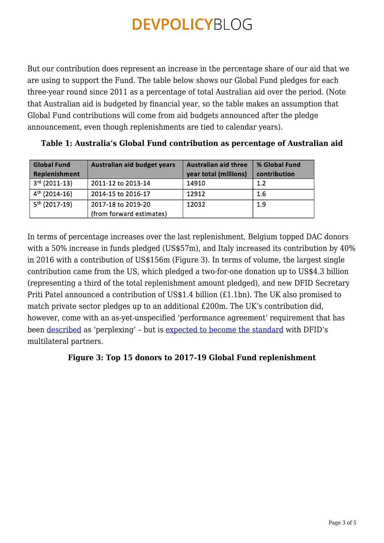But our contribution does represent an increase in the percentage share of our aid that we are using to support the Fund. The table below shows our Global Fund pledges for each three-year round since 2011 as a percentage of total Australian aid over the period. (Note that Australian aid is budgeted by financial year, so the table makes an assumption that Global Fund contributions will come from aid budgets announced after the pledge announcement, even though replenishments are tied to calendar years).

| <b>Global Fund</b><br>Replenishment | Australian aid budget years | <b>Australian aid three</b><br>year total (millions) | % Global Fund<br>contribution |
|-------------------------------------|-----------------------------|------------------------------------------------------|-------------------------------|
| $3rd$ (2011-13)                     | 2011-12 to 2013-14          | 14910                                                | 1.2                           |
| $4th$ (2014-16)                     | 2014-15 to 2016-17          | 12912                                                | 1.6                           |
| $5th$ (2017-19)                     | 2017-18 to 2019-20          | 12032                                                | 1.9                           |
|                                     | (from forward estimates)    |                                                      |                               |

**Table 1: Australia's Global Fund contribution as percentage of Australian aid**

In terms of percentage increases over the last replenishment, Belgium topped DAC donors with a 50% increase in funds pledged (US\$57m), and Italy increased its contribution by 40% in 2016 with a contribution of US\$156m (Figure 3). In terms of volume, the largest single contribution came from the US, which pledged a two-for-one donation up to US\$4.3 billion (representing a third of the total replenishment amount pledged), and new DFID Secretary Priti Patel announced a contribution of US\$1.4 billion (£1.1bn). The UK also promised to match private sector pledges up to an additional £200m. The UK's contribution did, however, come with an as-yet-unspecified 'performance agreement' requirement that has been [described](https://www.theguardian.com/global-development/2016/sep/18/priti-patel-justin-trudeau-uk-11bn-global-fund-aids-tb-malaria) as 'perplexing' – but is [expected to become the standard](https://www.devex.com/news/uk-attaches-strings-to-1-4b-global-fund-pledge-88768) with DFID's multilateral partners.

### **Figure 3: Top 15 donors to 2017-19 Global Fund replenishment**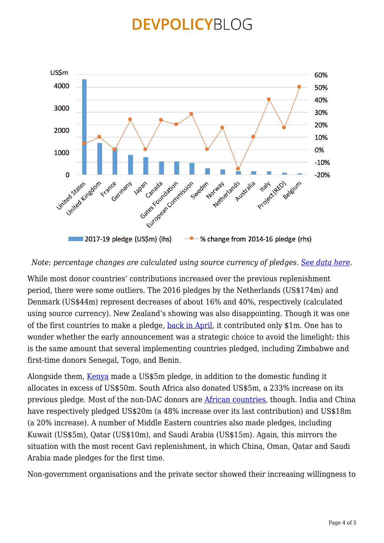

#### *Note: percentage changes are calculated using source currency of pledges. [See data here.](https://devpolicy.org/excel/Pledges%20to%20the%20Global%20Fund%202016.xlsx)*

While most donor countries' contributions increased over the previous replenishment period, there were some outliers. The 2016 pledges by the Netherlands (US\$174m) and Denmark (US\$44m) represent decreases of about 16% and 40%, respectively (calculated using source currency). New Zealand's showing was also disappointing. Though it was one of the first countries to make a pledge, [back in April](http://www.theglobalfund.org/en/news/2016-04-11_New_Zealand_Announces_Early_Contribution_to_the_Global_Fund/), it contributed only \$1m. One has to wonder whether the early announcement was a strategic choice to avoid the limelight: this is the same amount that several implementing countries pledged, including Zimbabwe and first-time donors Senegal, Togo, and Benin.

Alongside them, [Kenya](http://www.theglobalfund.org/en/news/2016-08-26_Kenya_Leads_the_Way_in_Africa_with_a_Pledge_of_USD_5_million_to_the_Global_Fund/) made a US\$5m pledge, in addition to the domestic funding it allocates in excess of US\$50m. South Africa also donated US\$5m, a 233% increase on its previous pledge. Most of the non-DAC donors are [African countries,](http://www.theglobalfund.org/en/news/2016-09-16_African_Countries_Step_Up_Contributions_to_the_Global_Fund/) though. India and China have respectively pledged US\$20m (a 48% increase over its last contribution) and US\$18m (a 20% increase). A number of Middle Eastern countries also made pledges, including Kuwait (US\$5m), Qatar (US\$10m), and Saudi Arabia (US\$15m). Again, this mirrors the situation with the most recent Gavi replenishment, in which China, Oman, Qatar and Saudi Arabia made pledges for the first time.

Non-government organisations and the private sector showed their increasing willingness to